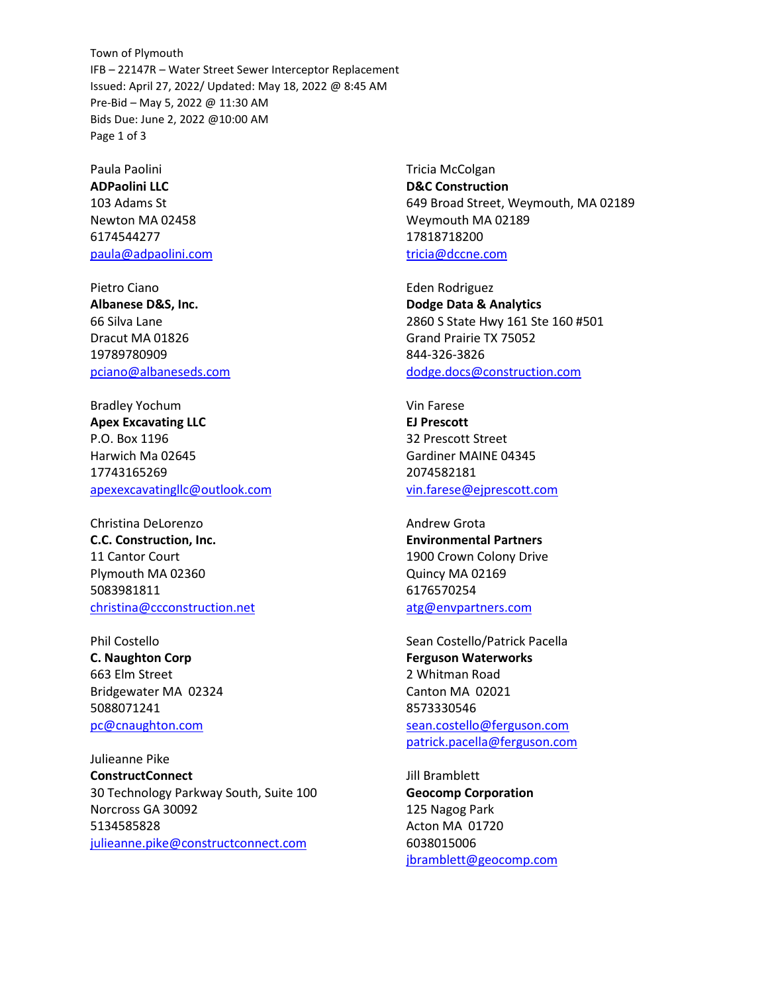Town of Plymouth IFB – 22147R – Water Street Sewer Interceptor Replacement Issued: April 27, 2022/ Updated: May 18, 2022 @ 8:45 AM Pre-Bid – May 5, 2022 @ 11:30 AM Bids Due: June 2, 2022 @10:00 AM Page 1 of 3

Paula Paolini **ADPaolini LLC** 103 Adams St Newton MA 02458 6174544277 [paula@adpaolini.com](mailto:paula@adpaolini.com)

Pietro Ciano **Albanese D&S, Inc.** 66 Silva Lane Dracut MA 01826 19789780909 [pciano@albaneseds.com](mailto:pciano@albaneseds.com)

Bradley Yochum **Apex Excavating LLC** P.O. Box 1196 Harwich Ma 02645 17743165269 [apexexcavatingllc@outlook.com](mailto:apexexcavatingllc@outlook.com)

Christina DeLorenzo **C.C. Construction, Inc.** 11 Cantor Court Plymouth MA 02360 5083981811 [christina@ccconstruction.net](mailto:christina@ccconstruction.net)

Phil Costello **C. Naughton Corp** 663 Elm Street Bridgewater MA 02324 5088071241 [pc@cnaughton.com](mailto:pc@cnaughton.com)

Julieanne Pike **ConstructConnect** 30 Technology Parkway South, Suite 100 Norcross GA 30092 5134585828 [julieanne.pike@constructconnect.com](mailto:julieanne.pike@constructconnect.com)

Tricia McColgan **D&C Construction** 649 Broad Street, Weymouth, MA 02189 Weymouth MA 02189 17818718200 [tricia@dccne.com](mailto:tricia@dccne.com)

Eden Rodriguez **Dodge Data & Analytics** 2860 S State Hwy 161 Ste 160 #501 Grand Prairie TX 75052 844-326-3826 [dodge.docs@construction.com](mailto:dodge.docs@construction.com)

Vin Farese **EJ Prescott** 32 Prescott Street Gardiner MAINE 04345 2074582181 [vin.farese@ejprescott.com](mailto:vin.farese@ejprescott.com)

Andrew Grota **Environmental Partners** 1900 Crown Colony Drive Quincy MA 02169 6176570254 [atg@envpartners.com](mailto:atg@envpartners.com)

Sean Costello/Patrick Pacella **Ferguson Waterworks** 2 Whitman Road Canton MA 02021 8573330546 [sean.costello@ferguson.com](mailto:sean.costello@ferguson.com) [patrick.pacella@ferguson.com](mailto:patrick.pacella@ferguson.com)

Jill Bramblett **Geocomp Corporation** 125 Nagog Park Acton MA 01720 6038015006 [jbramblett@geocomp.com](mailto:jbramblett@geocomp.com)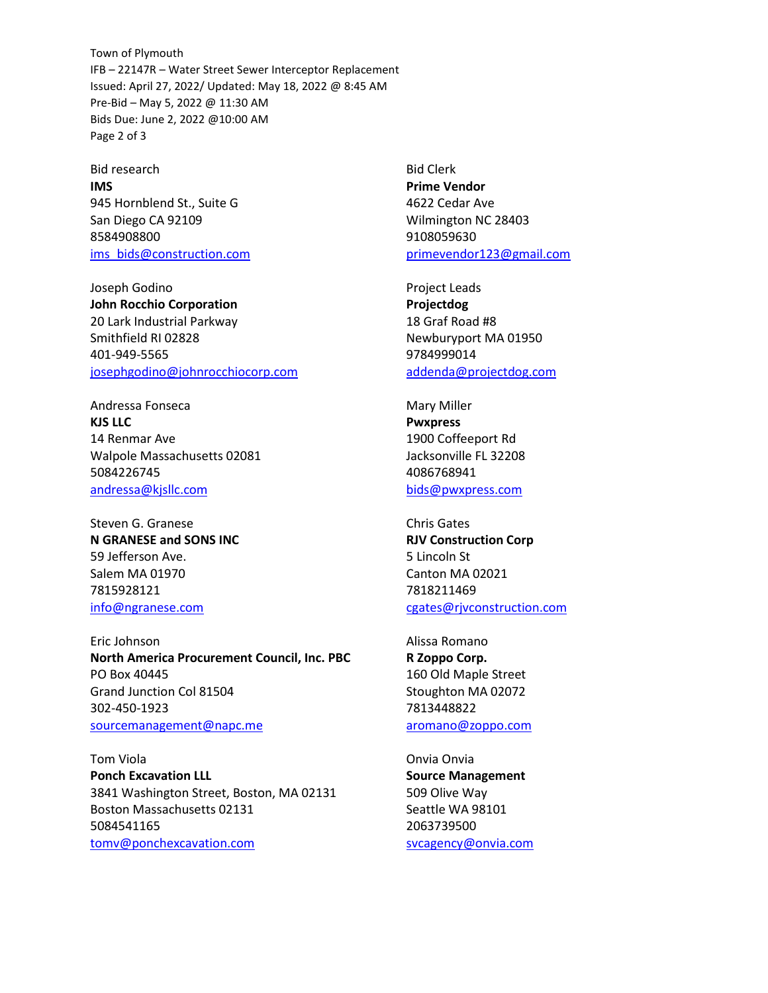Town of Plymouth IFB – 22147R – Water Street Sewer Interceptor Replacement Issued: April 27, 2022/ Updated: May 18, 2022 @ 8:45 AM Pre-Bid – May 5, 2022 @ 11:30 AM Bids Due: June 2, 2022 @10:00 AM Page 2 of 3

Bid research **IMS** 945 Hornblend St., Suite G San Diego CA 92109 8584908800 [ims\\_bids@construction.com](mailto:ims_bids@construction.com)

Joseph Godino **John Rocchio Corporation** 20 Lark Industrial Parkway Smithfield RI 02828 401-949-5565 [josephgodino@johnrocchiocorp.com](mailto:josephgodino@johnrocchiocorp.com)

Andressa Fonseca **KJS LLC** 14 Renmar Ave Walpole Massachusetts 02081 5084226745 [andressa@kjsllc.com](mailto:andressa@kjsllc.com)

Steven G. Granese **N GRANESE and SONS INC** 59 Jefferson Ave. Salem MA 01970 7815928121 [info@ngranese.com](mailto:info@ngranese.com)

Eric Johnson **North America Procurement Council, Inc. PBC** PO Box 40445 Grand Junction Col 81504 302-450-1923 [sourcemanagement@napc.me](mailto:sourcemanagement@napc.me) 

Tom Viola **Ponch Excavation LLL** 3841 Washington Street, Boston, MA 02131 Boston Massachusetts 02131 5084541165 [tomv@ponchexcavation.com](mailto:tomv@ponchexcavation.com)

Bid Clerk **Prime Vendor** 4622 Cedar Ave Wilmington NC 28403 9108059630 [primevendor123@gmail.com](mailto:primevendor123@gmail.com)

Project Leads **Projectdog** 18 Graf Road #8 Newburyport MA 01950 9784999014 [addenda@projectdog.com](mailto:addenda@projectdog.com)

Mary Miller **Pwxpress** 1900 Coffeeport Rd Jacksonville FL 32208 4086768941 [bids@pwxpress.com](mailto:bids@pwxpress.com)

Chris Gates **RJV Construction Corp** 5 Lincoln St Canton MA 02021 7818211469 [cgates@rjvconstruction.com](mailto:cgates@rjvconstruction.com)

Alissa Romano **R Zoppo Corp.** 160 Old Maple Street Stoughton MA 02072 7813448822 [aromano@zoppo.com](mailto:aromano@zoppo.com)

Onvia Onvia **Source Management** 509 Olive Way Seattle WA 98101 2063739500 [svcagency@onvia.com](mailto:svcagency@onvia.com)